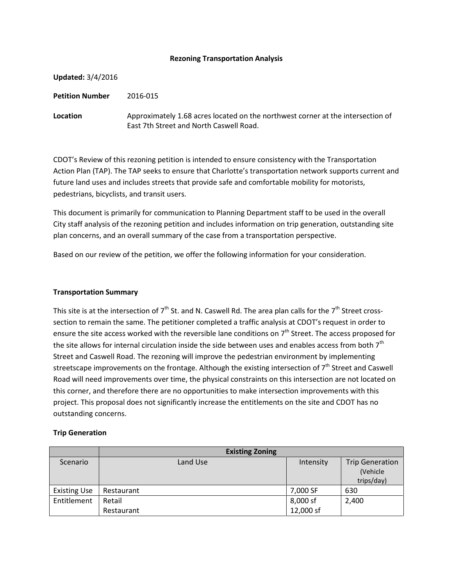#### **Rezoning Transportation Analysis**

| <b>Updated: 3/4/2016</b> |                                                                                                                            |
|--------------------------|----------------------------------------------------------------------------------------------------------------------------|
| <b>Petition Number</b>   | 2016-015                                                                                                                   |
| <b>Location</b>          | Approximately 1.68 acres located on the northwest corner at the intersection of<br>East 7th Street and North Caswell Road. |

CDOT's Review of this rezoning petition is intended to ensure consistency with the Transportation Action Plan (TAP). The TAP seeks to ensure that Charlotte's transportation network supports current and future land uses and includes streets that provide safe and comfortable mobility for motorists, pedestrians, bicyclists, and transit users.

This document is primarily for communication to Planning Department staff to be used in the overall City staff analysis of the rezoning petition and includes information on trip generation, outstanding site plan concerns, and an overall summary of the case from a transportation perspective.

Based on our review of the petition, we offer the following information for your consideration.

#### **Transportation Summary**

This site is at the intersection of  $7<sup>th</sup>$  St. and N. Caswell Rd. The area plan calls for the  $7<sup>th</sup>$  Street crosssection to remain the same. The petitioner completed a traffic analysis at CDOT's request in order to ensure the site access worked with the reversible lane conditions on 7<sup>th</sup> Street. The access proposed for the site allows for internal circulation inside the side between uses and enables access from both  $7<sup>th</sup>$ Street and Caswell Road. The rezoning will improve the pedestrian environment by implementing streetscape improvements on the frontage. Although the existing intersection of  $7<sup>th</sup>$  Street and Caswell Road will need improvements over time, the physical constraints on this intersection are not located on this corner, and therefore there are no opportunities to make intersection improvements with this project. This proposal does not significantly increase the entitlements on the site and CDOT has no outstanding concerns.

### **Trip Generation**

|                     | <b>Existing Zoning</b> |           |                                                  |
|---------------------|------------------------|-----------|--------------------------------------------------|
| Scenario            | Land Use               | Intensity | <b>Trip Generation</b><br>(Vehicle<br>trips/day) |
| <b>Existing Use</b> | Restaurant             | 7,000 SF  | 630                                              |
| Entitlement         | Retail                 | 8,000 sf  | 2,400                                            |
|                     | Restaurant             | 12,000 sf |                                                  |